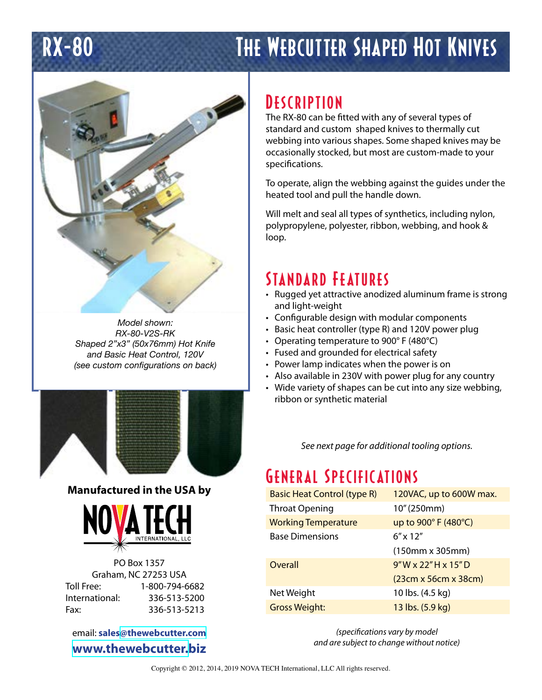# RX-80 THE WEBCUTTER SHAPED HOT KNIVES



*Model shown: RX-80-V2S-RK Shaped 2"x3" (50x76mm) Hot Knife and Basic Heat Control, 120V (see custom configurations on back)*



#### **Manufactured in the USA by**



PO Box 1357 Graham, NC 27253 USA Toll Free: 1-800-794-6682 International: 336-513-5200 Fax: 336-513-5213

email: **sales[@thewebcutter.com](mailto:sales%40thewebcutter.com?subject=Shaped%20knife%20inquiry) [www.thewebcutter.b](http://www.thewebcutter.biz)iz**

# **DESCRIPTION**

The RX-80 can be fitted with any of several types of standard and custom shaped knives to thermally cut webbing into various shapes. Some shaped knives may be occasionally stocked, but most are custom-made to your specifications.

To operate, align the webbing against the guides under the heated tool and pull the handle down.

Will melt and seal all types of synthetics, including nylon, polypropylene, polyester, ribbon, webbing, and hook & loop.

### Standard Features

- Rugged yet attractive anodized aluminum frame is strong and light-weight
- Configurable design with modular components
- Basic heat controller (type R) and 120V power plug
- Operating temperature to 900° F (480°C)
- Fused and grounded for electrical safety
- Power lamp indicates when the power is on
- Also available in 230V with power plug for any country
- Wide variety of shapes can be cut into any size webbing, ribbon or synthetic material

*See next page for additional tooling options.*

# General Specifications

| <b>Basic Heat Control (type R)</b> | 120VAC, up to 600W max.       |
|------------------------------------|-------------------------------|
| <b>Throat Opening</b>              | 10" (250mm)                   |
| <b>Working Temperature</b>         | up to 900° F (480°C)          |
| <b>Base Dimensions</b>             | $6'' \times 12''$             |
|                                    | $(150mm \times 305mm)$        |
| Overall                            | $9"W \times 22"H \times 15"D$ |
|                                    | (23cm x 56cm x 38cm)          |
| Net Weight                         | 10 lbs. (4.5 kg)              |
| <b>Gross Weight:</b>               | 13 lbs. (5.9 kg)              |

*(specifications vary by model and are subject to change without notice)*